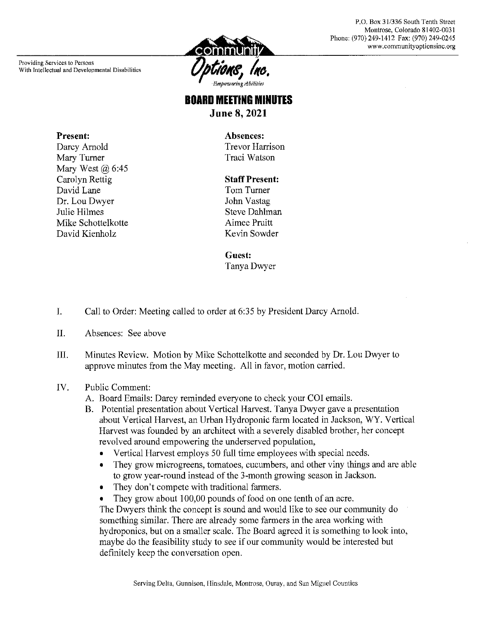Providing Services to Persons With Intellectual and Developmental Disabilities

Present:

Darcy Arnold

Mary Turner

David Lane

Julie Hilmes

Dr. Lou Dwyer

David Kienholz

Mary West  $(a)$  6:45 Carolyn Rettig

Mike Schottelkotte



P.O. Box 31/336 South Tenth Street Montrose, Colorado 81402-0031 Phone: (970) 249-1412 Fax: (970) 249-0245 www.communityoptionsine.org

# **BOARD MEETING MINUTES June 8, 2021**

Absences: **Trevor Harrison** Traci Watson

### **Staff Present:**

Tom Turner John Vastag **Steve Dahlman** Aimee Pruitt Kevin Sowder

### **Guest:**

Tanya Dwyer

- $I.$ Call to Order: Meeting called to order at 6:35 by President Darcy Arnold.
- II. Absences: See above
- Minutes Review. Motion by Mike Schottelkotte and seconded by Dr. Lou Dwyer to III. approve minutes from the May meeting. All in favor, motion carried.

#### IV. **Public Comment:**

- A. Board Emails: Darcy reminded everyone to check your COI emails.
- B. Potential presentation about Vertical Harvest. Tanya Dwyer gave a presentation about Vertical Harvest, an Urban Hydroponic farm located in Jackson, WY. Vertical Harvest was founded by an architect with a severely disabled brother, her concept revolved around empowering the underserved population,
	- Vertical Harvest employs 50 full time employees with special needs.  $\bullet$
	- They grow microgreens, tomatoes, cucumbers, and other viny things and are able  $\bullet$ to grow year-round instead of the 3-month growing season in Jackson.
	- They don't compete with traditional farmers.  $\bullet$
	- They grow about 100,00 pounds of food on one tenth of an acre.

The Dwyers think the concept is sound and would like to see our community do something similar. There are already some farmers in the area working with hydroponics, but on a smaller scale. The Board agreed it is something to look into, maybe do the feasibility study to see if our community would be interested but definitely keep the conversation open.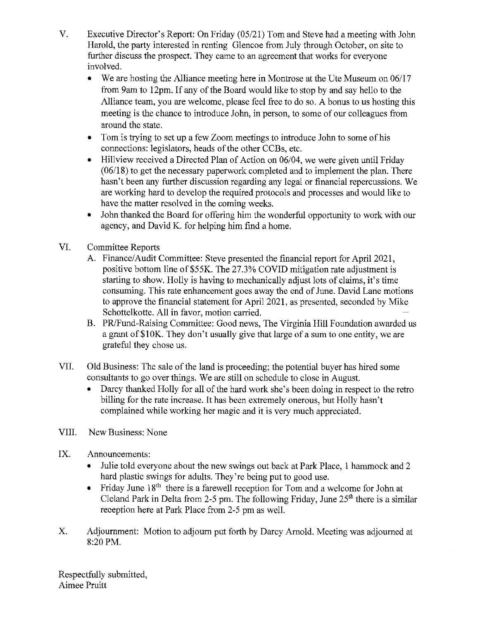- V. Executive Director's Report: On Friday (05/21) Tom and Steve had a meeting with John Harold, the party interested in renting Glencoe from July through October, on site to further discuss the prospect. They came to an agreement that works for everyone involved.
	- We are hosting the Alliance meeting here in Montrose at the Ute Museum on 06/17 from 9am to 12pm. If any of the Board would like to stop by and say hello to the Alliance team, you are welcome, please feel free to do so. A bonus to us hosting this meeting is the chance to introduce John, in person, to some of our colleagues from around the state.
	- $\bullet$ Tom is trying to set up a few Zoom meetings to introduce John to some of his connections: legislators, heads of the other CCBs, etc.
	- Hillview received a Directed Plan of Action on 06/04, we were given until Friday  $(06/18)$  to get the necessary paperwork completed and to implement the plan. There hasn't been any further discussion regarding any legal or financial repercussions. We are working hard to develop the required protocols and processes and would like to have the matter resolved in the coming weeks.
	- $\bullet$ John thanked the Board for offering him the wonderful opportunity to work with our agency, and David K. for helping him find a home.
- VI. **Committee Reports** 
	- A. Finance/Audit Committee: Steve presented the financial report for April 2021, positive bottom line of \$55K. The 27.3% COVID mitigation rate adjustment is starting to show. Holly is having to mechanically adjust lots of claims, it's time consuming. This rate enhancement goes away the end of June. David Lane motions to approve the financial statement for April 2021, as presented, seconded by Mike Schottelkotte. All in favor, motion carried.
	- B. PR/Fund-Raising Committee: Good news, The Virginia Hill Foundation awarded us a grant of \$10K. They don't usually give that large of a sum to one entity, we are grateful they chose us.
- VII. Old Business: The sale of the land is proceeding; the potential buyer has hired some consultants to go over things. We are still on schedule to close in August.
	- $\bullet$ Darcy thanked Holly for all of the hard work she's been doing in respect to the retro billing for the rate increase. It has been extremely onerous, but Holly hasn't complained while working her magic and it is very much appreciated.
- VIII. New Business: None
- IX. Announcements:
	- Julie told everyone about the new swings out back at Park Place, 1 hammock and 2 hard plastic swings for adults. They're being put to good use.
	- Friday June  $18<sup>th</sup>$  there is a farewell reception for Tom and a welcome for John at Cleland Park in Delta from 2-5 pm. The following Friday, June  $25<sup>th</sup>$  there is a similar reception here at Park Place from 2-5 pm as well.
- X. Adjournment: Motion to adjourn put forth by Darcy Arnold. Meeting was adjourned at 8:20 PM.

Respectfully submitted. Aimee Pruitt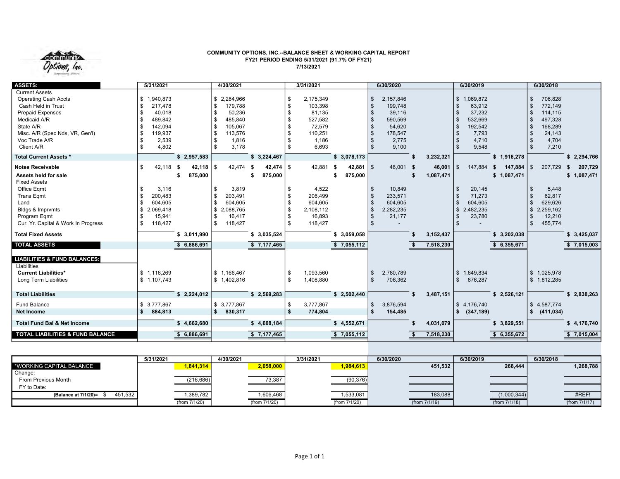

#### COMMUNITY OPTIONS, INC.--BALANCE SHEET & WORKING CAPITAL REPORT FY21 PERIOD ENDING 5/31/2021 (91.7% OF FY21) 7/13/2021

| <b>ASSETS:</b>                                                                                                                                                                                       | 5/31/2021                                                                                                      |                   | 4/30/2021                                                                                                                     |                                  |                | 3/31/2021                                                                        |                                         |                                     | 6/30/2020                                                                        |                     | 6/30/2019                                                                                      |                                | 6/30/2018                                                                       |                              |
|------------------------------------------------------------------------------------------------------------------------------------------------------------------------------------------------------|----------------------------------------------------------------------------------------------------------------|-------------------|-------------------------------------------------------------------------------------------------------------------------------|----------------------------------|----------------|----------------------------------------------------------------------------------|-----------------------------------------|-------------------------------------|----------------------------------------------------------------------------------|---------------------|------------------------------------------------------------------------------------------------|--------------------------------|---------------------------------------------------------------------------------|------------------------------|
| <b>Current Assets</b><br><b>Operating Cash Accts</b><br>Cash Held in Trust<br><b>Prepaid Expenses</b><br>Medicaid A/R<br>State A/R<br>Misc. A/R (Spec Nds, VR, Gen'l)<br>Voc Trade A/R<br>Client A/R | \$1,940,873<br>217,478<br>\$<br>40,018<br>\$<br>\$<br>489,842<br>142,094<br>119,937<br>2,539<br>4,802<br>ደ     |                   | \$2,284,966<br>179,788<br>\$<br>50,236<br>\$<br>485,840<br>\$<br>105,067<br>\$<br>113,576<br>\$<br>1,816<br>\$<br>3,178<br>\$ |                                  | \$<br>\$       | 2,175,349<br>103,398<br>81,135<br>527,582<br>72,579<br>110,251<br>1,186<br>6,693 |                                         | \$<br>\$<br>-\$<br>-\$<br>\$<br>-\$ | 2,157,846<br>199,748<br>39,116<br>590,569<br>54,620<br>178,547<br>2,775<br>9,100 |                     | 1,069,872<br>$\mathbb{S}$<br>63,912<br>37,232<br>532,669<br>192,542<br>7,793<br>4,710<br>9,548 |                                | 706,828<br>772,149<br>114,115<br>497,328<br>168,289<br>24,143<br>4,704<br>7,210 |                              |
| <b>Total Current Assets *</b>                                                                                                                                                                        |                                                                                                                | \$2,957,583       |                                                                                                                               | \$3,224,467                      |                |                                                                                  | \$3,078,173                             |                                     |                                                                                  | 3,232,321           |                                                                                                | \$1,918,278                    |                                                                                 | \$2,294,766                  |
| <b>Notes Receivable</b><br>Assets held for sale<br><b>Fixed Assets</b><br>Office Eqmt<br><b>Trans Eqmt</b><br>Land<br>Bldgs & Imprvmts<br>Program Eqmt<br>Cur. Yr. Capital & Work In Progress        | \$<br>42,118 \$<br>3,116<br>\$<br>200,483<br>\$<br>604,605<br>\$<br>2,069,418<br>\$<br>15,941<br>118,427<br>\$ | 42,118<br>875,000 | \$<br>42,474<br>3,819<br>\$<br>203,491<br>\$<br>\$<br>604,605<br>\$<br>2,088,765<br>16,417<br>\$<br>\$<br>118,427             | $42,474$ \ \$<br>- \$<br>875,000 |                | 42,881<br>4,522<br>206,499<br>604,605<br>2,108,112<br>16,893<br>118,427          | 42,881 $\frac{1}{3}$<br>- \$<br>875,000 | -\$<br>-\$<br>-\$<br>\$<br>\$<br>\$ | 46,001 \$<br>10,849<br>233,571<br>604,605<br>2,282,235<br>21,177                 | 46,001<br>1,087,471 | $\mathbf{s}$<br>147,884<br>20,145<br>71,273<br>604,605<br>\$<br>2,482,235<br>23,780            | 147,884<br>- \$<br>\$1,087,471 | 207,729<br>5,448<br>62,817<br>629,626<br>2,259,162<br>12,210<br>455,774         | 207,729<br>\$<br>\$1,087,471 |
| <b>Total Fixed Assets</b>                                                                                                                                                                            |                                                                                                                | \$3,011,990       |                                                                                                                               | \$ 3,035,524                     |                |                                                                                  | \$3,059,058                             |                                     |                                                                                  | 3, 152, 437         |                                                                                                | \$3,202,038                    |                                                                                 | \$3,425,037                  |
| <b>TOTAL ASSETS</b>                                                                                                                                                                                  |                                                                                                                | 6,886,691         |                                                                                                                               | \$7,177,465                      |                |                                                                                  | \$7,055,112                             |                                     |                                                                                  | 7,518,230           |                                                                                                | 6,355,671<br>s.                |                                                                                 | \$7,015,003                  |
| <b>LIABILITIES &amp; FUND BALANCES:</b><br>Liabilities<br><b>Current Liabilities*</b><br><b>Long Term Liabilities</b>                                                                                | \$1,116,269<br>\$1,107,743                                                                                     |                   | \$1,166,467<br>\$1,402,816                                                                                                    |                                  | \$             | 1,093,560<br>1,408,880                                                           |                                         | \$<br>\$                            | 2,780,789<br>706,362                                                             |                     | 1,649,834<br>$\mathbb{S}$<br>876,287                                                           |                                | 1,025,978<br>\$1,812,285                                                        |                              |
| <b>Total Liabilities</b>                                                                                                                                                                             |                                                                                                                | \$2,224,012       |                                                                                                                               | \$2,569,283                      |                |                                                                                  | \$2,502,440                             |                                     |                                                                                  | 3,487,151           |                                                                                                | \$2,526,121                    |                                                                                 | \$2,838,263                  |
| <b>Fund Balance</b><br><b>Net Income</b>                                                                                                                                                             | \$3,777,867<br>\$.<br>884,813                                                                                  |                   | \$3,777,867<br>\$<br>830,317                                                                                                  |                                  | \$<br><b>S</b> | 3,777,867<br>774,804                                                             |                                         | \$<br>\$                            | 3,876,594<br>154,485                                                             |                     | \$4,176,740<br>(347, 189)<br>s.                                                                |                                | 4,587,774<br>-\$<br>(411, 034)                                                  |                              |
| <b>Total Fund Bal &amp; Net Income</b>                                                                                                                                                               |                                                                                                                | \$4,662,680       |                                                                                                                               | \$4,608,184                      |                |                                                                                  | \$4,552,671                             |                                     |                                                                                  | 4,031,079           |                                                                                                | \$3,829,551                    |                                                                                 | \$4,176,740                  |
| <b>TOTAL LIABILITIES &amp; FUND BALANCE</b>                                                                                                                                                          |                                                                                                                | 6,886,691         |                                                                                                                               | \$7,177,465                      |                |                                                                                  | \$7,055,112                             |                                     |                                                                                  | 7,518,230           |                                                                                                | 6,355,672<br>\$                |                                                                                 | \$7,015,004                  |

|                                 | 5/31/2021     | 4/30/2021     | 3/31/2021     | 6/30/2020        | 6/30/2019     | 6/30/2018     |
|---------------------------------|---------------|---------------|---------------|------------------|---------------|---------------|
| *WORKING CAPITAL BALANCE        | 1,841,314     | 2,058,000     | 1,984,613     | 451.532          | 268,444       | 1,268,788     |
| Change:                         |               |               |               |                  |               |               |
| From Previous Month             | (216, 686)    | 73,387        | (90, 376)     |                  |               |               |
| FY to Date:                     |               | ___           |               |                  |               |               |
| 451,532<br>(Balance at 7/1/20)= | 1,389,782     | 1,606,468     | 1,533,081     | 183,088          | (1,000,344)   | #REF!         |
|                                 | (from 7/1/20) | (from 7/1/20) | (from 7/1/20) | (from $7/1/19$ ) | (from 7/1/18) | (from 7/1/17) |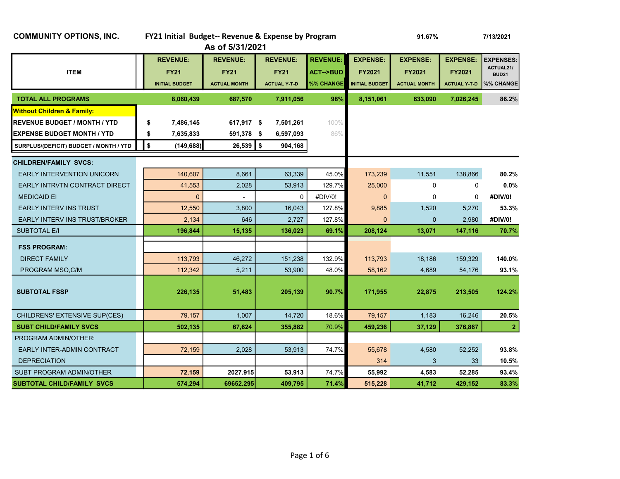## COMMUNITY OPTIONS, INC. FY21 Initial Budget-- Revenue & Expense by Program 91.67% 91.67% 7/13/2021 As of 5/31/2021 REVENUE: REVENUE: REVENUE: REVENUE: EXPENSE: EXPENSE: EXPENSE: EXPENSES: ITEM FY21 FY21 FY21 ACT-->BUD FY2021 FY2021 FY2021 ACTUAL21/ BUD21 INITIAL BUDGET ACTUAL MONTH ACTUAL Y-T-D %% CHANGE INITIAL BUDGET ACTUAL MONTH ACTUAL Y-T-D %% CHANGE TOTAL ALL PROGRAMS 8,060,439 687,570 7,911,056 98% 8,151,061 633,090 7,026,245 86.2% **Without Children & Family: REVENUE BUDGET / MONTH / YTD \$ 7,486,145 617,917 \$ 7,501,261** 100% **EXPENSE BUDGET MONTH / YTD \$ 7,635,833 591,378 \$ 6,597,093** 86% SURPLUS/(DEFICIT) BUDGET / MONTH / YTD  $\begin{bmatrix} 1 & 0 \\ 0 & 0 \end{bmatrix}$  (149,688) 26,539  $\begin{bmatrix} 0 & 904,168 \\ 0 & 0 & 0 \end{bmatrix}$ CHILDREN/FAMILY SVCS: EARLY INTERVENTION UNICORN **140,607** 8,661 63,339 45.0% 173,239 11,551 138,866 80.2% EARLY INTRVTN CONTRACT DIRECT 41,553 2,028 53,913 129.7% 25,000 0 0 0.0% MEDICAID EI 0 - 0 #DIV/0! 0 0 0 #DIV/0! EARLY INTERV INS TRUST **12,550** 12,550 3,800 16,043 127.8% 9,885 1,520 5,270 53.3% EARLY INTERV INS TRUST/BROKER  $\begin{array}{|c|c|c|c|c|c|}\n\hline\n\text{2.134} & 646 & 2.727 & 127.8\% & 0 & 0 & 2.980 & \text{\#DIV/0!}\n\hline\n\end{array}$ SUBTOTAL E/I 196,844 196,844 15,135 136,023 69.1% 208,124 13,071 147,116 70.7% FSS PROGRAM: DIRECT FAMILY **113,793** 46,272 151,238 132.9% 113,793 18,186 159,329 140.0% PROGRAM MSO,C/M **112,342** 55,211 53,900 48.0% 58,162 4,689 54,176 93.1%  $\texttt{SUBTOTAL FSSP} \quad \texttt{31.505} \quad \texttt{226,135} \quad \texttt{331.505} \quad \texttt{51,483} \quad \texttt{305,139} \quad \texttt{30.7\%} \quad \texttt{31.955} \quad \texttt{32.875} \quad \texttt{213,505} \quad \texttt{124.2\%} \quad \texttt{31.959} \quad \texttt{32.875} \quad \texttt{33.96} \quad \texttt{33.97} \quad \texttt{33.97} \quad \texttt{33.98} \$  CHILDRENS' EXTENSIVE SUP(CES) 79,157 1,007 14,720 18.6% 79,157 1,183 16,246 20.5% SUBT CHILD/FAMILY SVCS 502,135 | 67,624 | 355,882 | 70.9% | 459,236 | 37,129 | 376,867 | 2 PROGRAM ADMIN/OTHER: EARLY INTER-ADMIN CONTRACT **1** 72,159 2,028 53,913 74.7% 55,678 4,580 52,252 **93.8%**  DEPRECIATION 314 3 33 10.5% SUBT PROGRAM ADMIN/OTHER **72,159** 2027.915 53,913 74.7% 53,992 4,583 52,285 93.4% SUBTOTAL CHILD/FAMILY SVCS 574,294 69652.295 409,795 71.4% 515,228 41,712 429,152 83.3%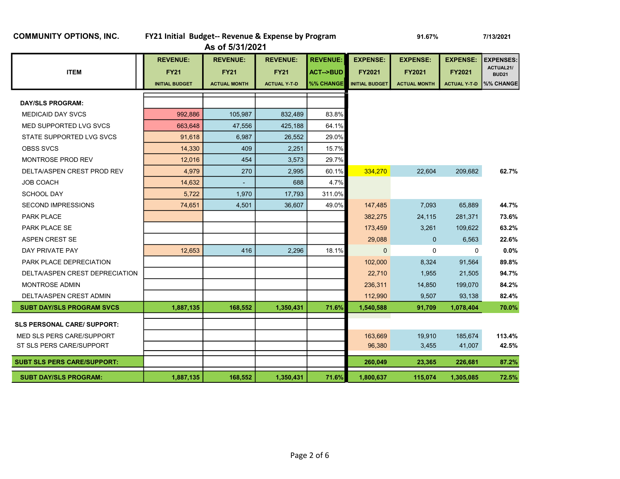| <b>COMMUNITY OPTIONS, INC.</b> |  |  |
|--------------------------------|--|--|
|--------------------------------|--|--|

## FY21 Initial Budget-- Revenue & Expense by Program 91.67% 91.67% 7/13/2021

As of 5/31/2021

| <b>REVENUE:</b><br><b>FY21</b> | <b>REVENUE:</b><br><b>FY21</b> | <b>REVENUE:</b><br><b>FY21</b> | <b>REVENUE:</b><br><b>ACT--&gt;BUD</b> | <b>EXPENSE:</b><br><b>FY2021</b> | <b>EXPENSE:</b><br><b>FY2021</b> | <b>EXPENSE:</b><br><b>FY2021</b> | <b>EXPENSES:</b><br>ACTUAL21/<br><b>BUD21</b> |
|--------------------------------|--------------------------------|--------------------------------|----------------------------------------|----------------------------------|----------------------------------|----------------------------------|-----------------------------------------------|
| <b>INITIAL BUDGET</b>          | <b>ACTUAL MONTH</b>            | <b>ACTUAL Y T D</b>            | %% CHANGE                              | <b>INITIAL BUDGET</b>            | <b>ACTUAL MONTH</b>              | <b>ACTUAL Y T D</b>              | %% CHANGE                                     |
|                                |                                |                                |                                        |                                  |                                  |                                  |                                               |
| 992,886                        | 105,987                        | 832,489                        | 83.8%                                  |                                  |                                  |                                  |                                               |
| 663.648                        | 47,556                         | 425,188                        | 64.1%                                  |                                  |                                  |                                  |                                               |
| 91,618                         | 6,987                          | 26,552                         | 29.0%                                  |                                  |                                  |                                  |                                               |
| 14,330                         | 409                            | 2,251                          | 15.7%                                  |                                  |                                  |                                  |                                               |
| 12,016                         | 454                            | 3,573                          | 29.7%                                  |                                  |                                  |                                  |                                               |
| 4,979                          | 270                            | 2,995                          | 60.1%                                  | 334,270                          | 22,604                           | 209,682                          | 62.7%                                         |
| 14.632                         |                                | 688                            | 4.7%                                   |                                  |                                  |                                  |                                               |
| 5,722                          | 1,970                          | 17,793                         | 311.0%                                 |                                  |                                  |                                  |                                               |
| 74,651                         | 4,501                          | 36,607                         | 49.0%                                  | 147,485                          | 7,093                            | 65,889                           | 44.7%                                         |
|                                |                                |                                |                                        | 382,275                          | 24,115                           | 281,371                          | 73.6%                                         |
|                                |                                |                                |                                        | 173,459                          | 3,261                            | 109,622                          | 63.2%                                         |
|                                |                                |                                |                                        | 29,088                           | $\mathbf 0$                      | 6,563                            | 22.6%                                         |
| 12,653                         | 416                            | 2,296                          | 18.1%                                  | $\mathbf{0}$                     | $\mathbf 0$                      | $\Omega$                         | $0.0\%$                                       |
|                                |                                |                                |                                        | 102,000                          | 8,324                            | 91,564                           | 89.8%                                         |
|                                |                                |                                |                                        | 22,710                           | 1,955                            | 21,505                           | 94.7%                                         |
|                                |                                |                                |                                        | 236,311                          | 14,850                           | 199,070                          | 84.2%                                         |
|                                |                                |                                |                                        | 112,990                          | 9,507                            | 93,138                           | 82.4%                                         |
| 1,887,135                      | 168,552                        | 1,350,431                      | 71.6%                                  | 1,540,588                        | 91,709                           | 1,078,404                        | 70.0%                                         |
|                                |                                |                                |                                        |                                  |                                  |                                  |                                               |
|                                |                                |                                |                                        |                                  |                                  |                                  | 113.4%                                        |
|                                |                                |                                |                                        | 96,380                           | 3,455                            | 41,007                           | 42.5%                                         |
|                                |                                |                                |                                        |                                  |                                  |                                  | 87.2%                                         |
|                                |                                |                                |                                        |                                  |                                  |                                  | 72.5%                                         |
|                                | 1,887,135                      | 168,552                        | 1,350,431                              | 71.6%                            | 163,669<br>260,049<br>1,800,637  | 19,910<br>23,365<br>115,074      | 185,674<br>226,681<br>1,305,085               |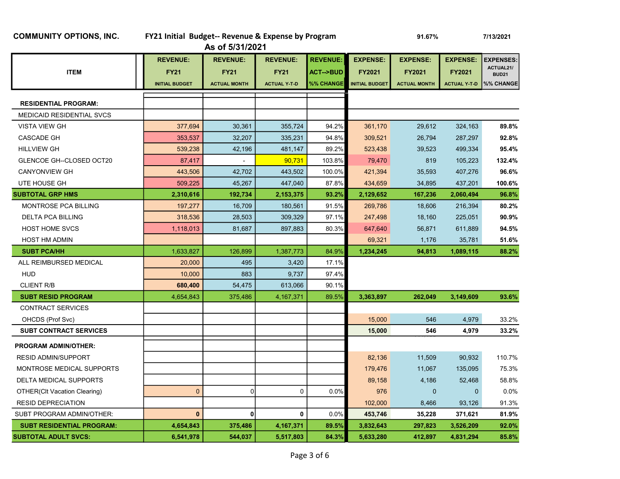## COMMUNITY OPTIONS, INC. FY21 Initial Budget-- Revenue & Expense by Program 91.67% 91.67% 7/13/2021

| As of 5/31/2021 |  |  |
|-----------------|--|--|
|-----------------|--|--|

|                                  | <b>REVENUE:</b>       | <b>REVENUE:</b>     | <b>REVENUE:</b>     | <b>REVENUE:</b>     | <b>EXPENSE:</b>       | <b>EXPENSE:</b>     | <b>EXPENSE:</b>     | <b>EXPENSES:</b>   |
|----------------------------------|-----------------------|---------------------|---------------------|---------------------|-----------------------|---------------------|---------------------|--------------------|
| <b>ITEM</b>                      | <b>FY21</b>           | <b>FY21</b>         | <b>FY21</b>         | <b>ACT--&gt;BUD</b> | <b>FY2021</b>         | <b>FY2021</b>       | <b>FY2021</b>       | ACTUAL21/<br>BUD21 |
|                                  | <b>INITIAL BUDGET</b> | <b>ACTUAL MONTH</b> | <b>ACTUAL Y T D</b> | %% CHANGE           | <b>INITIAL BUDGET</b> | <b>ACTUAL MONTH</b> | <b>ACTUAL Y T D</b> | %% CHANGE          |
|                                  |                       |                     |                     |                     |                       |                     |                     |                    |
| <b>RESIDENTIAL PROGRAM:</b>      |                       |                     |                     |                     |                       |                     |                     |                    |
| <b>MEDICAID RESIDENTIAL SVCS</b> |                       |                     |                     |                     |                       |                     |                     |                    |
| <b>VISTA VIEW GH</b>             | 377,694               | 30,361              | 355,724             | 94.2%               | 361,170               | 29,612              | 324,163             | 89.8%              |
| <b>CASCADE GH</b>                | 353,537               | 32,207              | 335,231             | 94.8%               | 309,521               | 26,794              | 287,297             | 92.8%              |
| <b>HILLVIEW GH</b>               | 539,238               | 42,196              | 481,147             | 89.2%               | 523,438               | 39,523              | 499,334             | 95.4%              |
| GLENCOE GH--CLOSED OCT20         | 87,417                |                     | 90,731              | 103.8%              | 79,470                | 819                 | 105,223             | 132.4%             |
| <b>CANYONVIEW GH</b>             | 443,506               | 42,702              | 443,502             | 100.0%              | 421,394               | 35,593              | 407,276             | 96.6%              |
| UTE HOUSE GH                     | 509,225               | 45,267              | 447,040             | 87.8%               | 434,659               | 34,895              | 437,201             | 100.6%             |
| <b>SUBTOTAL GRP HMS</b>          | 2,310,616             | 192,734             | 2,153,375           | 93.2%               | 2,129,652             | 167,236             | 2,060,494           | 96.8%              |
| <b>MONTROSE PCA BILLING</b>      | 197,277               | 16,709              | 180,561             | 91.5%               | 269,786               | 18,606              | 216,394             | 80.2%              |
| <b>DELTA PCA BILLING</b>         | 318,536               | 28,503              | 309,329             | 97.1%               | 247,498               | 18,160              | 225,051             | 90.9%              |
| <b>HOST HOME SVCS</b>            | 1,118,013             | 81,687              | 897,883             | 80.3%               | 647,640               | 56,871              | 611,889             | 94.5%              |
| <b>HOST HM ADMIN</b>             |                       |                     |                     |                     | 69,321                | 1,176               | 35,781              | 51.6%              |
| <b>SUBT PCA/HH</b>               | 1,633,827             | 126,899             | 1,387,773           | 84.9%               | 1,234,245             | 94,813              | 1,089,115           | 88.2%              |
| ALL REIMBURSED MEDICAL           | 20,000                | 495                 | 3,420               | 17.1%               |                       |                     |                     |                    |
| <b>HUD</b>                       | 10,000                | 883                 | 9,737               | 97.4%               |                       |                     |                     |                    |
| <b>CLIENT R/B</b>                | 680,400               | 54,475              | 613,066             | 90.1%               |                       |                     |                     |                    |
| <b>SUBT RESID PROGRAM</b>        | 4,654,843             | 375,486             | 4,167,371           | 89.5%               | 3,363,897             | 262,049             | 3,149,609           | 93.6%              |
| <b>CONTRACT SERVICES</b>         |                       |                     |                     |                     |                       |                     |                     |                    |
| OHCDS (Prof Svc)                 |                       |                     |                     |                     | 15,000                | 546                 | 4,979               | 33.2%              |
| <b>SUBT CONTRACT SERVICES</b>    |                       |                     |                     |                     | 15,000                | 546                 | 4,979               | 33.2%              |
| <b>PROGRAM ADMIN/OTHER:</b>      |                       |                     |                     |                     |                       |                     |                     |                    |
| <b>RESID ADMIN/SUPPORT</b>       |                       |                     |                     |                     | 82,136                | 11,509              | 90,932              | 110.7%             |
| MONTROSE MEDICAL SUPPORTS        |                       |                     |                     |                     | 179,476               | 11,067              | 135,095             | 75.3%              |
| DELTA MEDICAL SUPPORTS           |                       |                     |                     |                     | 89,158                | 4,186               | 52,468              | 58.8%              |
| OTHER(CIt Vacation Clearing)     | $\mathbf 0$           | $\mathbf 0$         | 0                   | 0.0%                | 976                   | $\mathbf 0$         | $\mathbf{0}$        | 0.0%               |
| <b>RESID DEPRECIATION</b>        |                       |                     |                     |                     | 102,000               | 8,466               | 93,126              | 91.3%              |
| SUBT PROGRAM ADMIN/OTHER:        | $\mathbf{0}$          | 0                   | 0                   | 0.0%                | 453,746               | 35,228              | 371,621             | 81.9%              |
| <b>SUBT RESIDENTIAL PROGRAM:</b> | 4,654,843             | 375,486             | 4,167,371           | 89.5%               | 3,832,643             | 297,823             | 3,526,209           | 92.0%              |
| <b>SUBTOTAL ADULT SVCS:</b>      | 6,541,978             | 544,037             | 5,517,803           | 84.3%               | 5,633,280             | 412.897             | 4,831,294           | 85.8%              |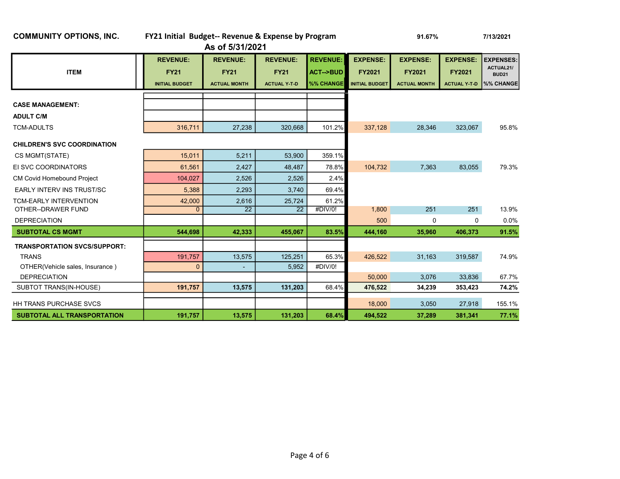| <b>COMMUNITY OPTIONS, INC.</b>      | FY21 Initial Budget-- Revenue & Expense by Program      |                                                       |                                                       |                                                     |                                                           | 91.67%                                                  |                                                         | 7/13/2021                                                  |
|-------------------------------------|---------------------------------------------------------|-------------------------------------------------------|-------------------------------------------------------|-----------------------------------------------------|-----------------------------------------------------------|---------------------------------------------------------|---------------------------------------------------------|------------------------------------------------------------|
|                                     |                                                         | As of 5/31/2021                                       |                                                       |                                                     |                                                           |                                                         |                                                         |                                                            |
| <b>ITEM</b>                         | <b>REVENUE:</b><br><b>FY21</b><br><b>INITIAL BUDGET</b> | <b>REVENUE:</b><br><b>FY21</b><br><b>ACTUAL MONTH</b> | <b>REVENUE:</b><br><b>FY21</b><br><b>ACTUAL Y T D</b> | <b>REVENUE:</b><br><b>ACT--&gt;BUD</b><br>%% CHANGE | <b>EXPENSE:</b><br><b>FY2021</b><br><b>INITIAL BUDGET</b> | <b>EXPENSE:</b><br><b>FY2021</b><br><b>ACTUAL MONTH</b> | <b>EXPENSE:</b><br><b>FY2021</b><br><b>ACTUAL Y-T-D</b> | <b>EXPENSES:</b><br>ACTUAL21/<br><b>BUD21</b><br>%% CHANGE |
|                                     |                                                         |                                                       |                                                       |                                                     |                                                           |                                                         |                                                         |                                                            |
| <b>CASE MANAGEMENT:</b>             |                                                         |                                                       |                                                       |                                                     |                                                           |                                                         |                                                         |                                                            |
| <b>ADULT C/M</b>                    |                                                         |                                                       |                                                       |                                                     |                                                           |                                                         |                                                         |                                                            |
| <b>TCM-ADULTS</b>                   | 316,711                                                 | 27,238                                                | 320,668                                               | 101.2%                                              | 337,128                                                   | 28,346                                                  | 323,067                                                 | 95.8%                                                      |
| <b>CHILDREN'S SVC COORDINATION</b>  |                                                         |                                                       |                                                       |                                                     |                                                           |                                                         |                                                         |                                                            |
| CS MGMT(STATE)                      | 15,011                                                  | 5,211                                                 | 53,900                                                | 359.1%                                              |                                                           |                                                         |                                                         |                                                            |
| EI SVC COORDINATORS                 | 61,561                                                  | 2,427                                                 | 48,487                                                | 78.8%                                               | 104,732                                                   | 7,363                                                   | 83,055                                                  | 79.3%                                                      |
| <b>CM Covid Homebound Project</b>   | 104.027                                                 | 2,526                                                 | 2,526                                                 | 2.4%                                                |                                                           |                                                         |                                                         |                                                            |
| <b>EARLY INTERV INS TRUST/SC</b>    | 5,388                                                   | 2,293                                                 | 3,740                                                 | 69.4%                                               |                                                           |                                                         |                                                         |                                                            |
| <b>TCM-EARLY INTERVENTION</b>       | 42,000                                                  | 2,616                                                 | 25,724                                                | 61.2%                                               |                                                           |                                                         |                                                         |                                                            |
| OTHER--DRAWER FUND                  | $\overline{0}$                                          | $\overline{22}$                                       | 22                                                    | #DIV/0!                                             | 1,800                                                     | 251                                                     | 251                                                     | 13.9%                                                      |
| <b>DEPRECIATION</b>                 |                                                         |                                                       |                                                       |                                                     | 500                                                       | 0                                                       | 0                                                       | $0.0\%$                                                    |
| <b>SUBTOTAL CS MGMT</b>             | 544,698                                                 | 42,333                                                | 455,067                                               | 83.5%                                               | 444,160                                                   | 35,960                                                  | 406,373                                                 | 91.5%                                                      |
| <b>TRANSPORTATION SVCS/SUPPORT:</b> |                                                         |                                                       |                                                       |                                                     |                                                           |                                                         |                                                         |                                                            |
| <b>TRANS</b>                        | 191,757                                                 | 13,575                                                | 125,251                                               | 65.3%                                               | 426,522                                                   | 31,163                                                  | 319,587                                                 | 74.9%                                                      |
| OTHER(Vehicle sales, Insurance)     | $\mathbf{0}$                                            |                                                       | 5,952                                                 | #DIV/0!                                             |                                                           |                                                         |                                                         |                                                            |
| <b>DEPRECIATION</b>                 |                                                         |                                                       |                                                       |                                                     | 50,000                                                    | 3,076                                                   | 33,836                                                  | 67.7%                                                      |
| SUBTOT TRANS(IN-HOUSE)              | 191,757                                                 | 13,575                                                | 131,203                                               | 68.4%                                               | 476,522                                                   | 34,239                                                  | 353,423                                                 | 74.2%                                                      |
| <b>HH TRANS PURCHASE SVCS</b>       |                                                         |                                                       |                                                       |                                                     | 18.000                                                    | 3,050                                                   | 27,918                                                  | 155.1%                                                     |
| SUBTOTAL ALL TRANSPORTATION         | 191,757                                                 | 13,575                                                | 131,203                                               | 68.4%                                               | 494,522                                                   | 37,289                                                  | 381,341                                                 | 77.1%                                                      |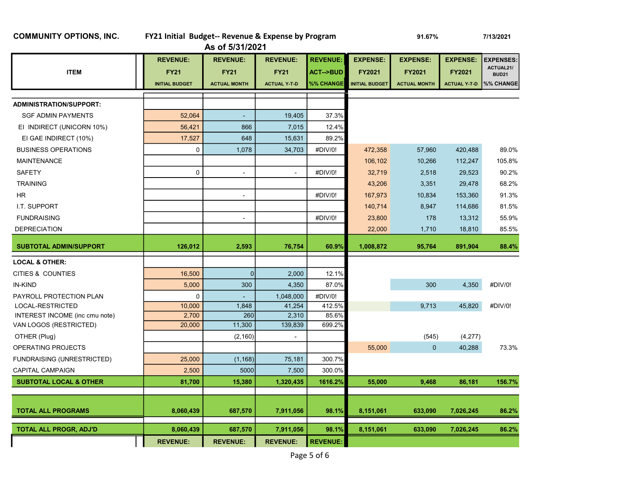|  |  | <b>COMMUNITY OPTIONS, INC.</b> |  |
|--|--|--------------------------------|--|
|--|--|--------------------------------|--|

# FY21 Initial Budget-- Revenue & Expense by Program 91.67% 91.67% 7/13/2021

As of 5/31/2021

|                                   | <b>REVENUE:</b>       | <b>REVENUE:</b>     | <b>REVENUE:</b>          | <b>REVENUE:</b>     | <b>EXPENSE:</b>       | <b>EXPENSE:</b>     | <b>EXPENSE:</b>     | <b>EXPENSES:</b><br>ACTUAL21/ |
|-----------------------------------|-----------------------|---------------------|--------------------------|---------------------|-----------------------|---------------------|---------------------|-------------------------------|
| <b>ITEM</b>                       | <b>FY21</b>           | <b>FY21</b>         | <b>FY21</b>              | <b>ACT--&gt;BUD</b> | FY2021                | <b>FY2021</b>       | FY2021              | <b>BUD21</b>                  |
|                                   | <b>INITIAL BUDGET</b> | <b>ACTUAL MONTH</b> | <b>ACTUAL Y-T-D</b>      | %% CHANGE           | <b>INITIAL BUDGET</b> | <b>ACTUAL MONTH</b> | <b>ACTUAL Y T-D</b> | %% CHANGE                     |
|                                   |                       |                     |                          |                     |                       |                     |                     |                               |
| <b>ADMINISTRATION/SUPPORT:</b>    |                       |                     |                          |                     |                       |                     |                     |                               |
| <b>SGF ADMIN PAYMENTS</b>         | 52,064                | $\blacksquare$      | 19,405                   | 37.3%               |                       |                     |                     |                               |
| EI INDIRECT (UNICORN 10%)         | 56,421                | 866                 | 7,015                    | 12.4%               |                       |                     |                     |                               |
| EI GAE INDIRECT (10%)             | 17,527                | 648                 | 15,631                   | 89.2%               |                       |                     |                     |                               |
| <b>BUSINESS OPERATIONS</b>        | 0                     | 1,078               | 34,703                   | #DIV/0!             | 472,358               | 57,960              | 420,488             | 89.0%                         |
| <b>MAINTENANCE</b>                |                       |                     |                          |                     | 106,102               | 10,266              | 112,247             | 105.8%                        |
| <b>SAFETY</b>                     | $\mathbf 0$           | $\blacksquare$      | $\blacksquare$           | #DIV/0!             | 32,719                | 2,518               | 29,523              | 90.2%                         |
| <b>TRAINING</b>                   |                       |                     |                          |                     | 43,206                | 3,351               | 29,478              | 68.2%                         |
| <b>HR</b>                         |                       | $\blacksquare$      |                          | #DIV/0!             | 167,973               | 10,834              | 153,360             | 91.3%                         |
| I.T. SUPPORT                      |                       |                     |                          |                     | 140,714               | 8,947               | 114,686             | 81.5%                         |
| <b>FUNDRAISING</b>                |                       | $\blacksquare$      |                          | #DIV/0!             | 23,800                | 178                 | 13,312              | 55.9%                         |
| <b>DEPRECIATION</b>               |                       |                     |                          |                     | 22,000                | 1,710               | 18,810              | 85.5%                         |
| <b>SUBTOTAL ADMIN/SUPPORT</b>     | 126,012               | 2,593               | 76,754                   | 60.9%               | 1,008,872             | 95,764              | 891,904             | 88.4%                         |
| <b>LOCAL &amp; OTHER:</b>         |                       |                     |                          |                     |                       |                     |                     |                               |
| CITIES & COUNTIES                 | 16,500                | $\overline{0}$      | 2,000                    | 12.1%               |                       |                     |                     |                               |
| <b>IN-KIND</b>                    | 5,000                 | 300                 | 4,350                    | 87.0%               |                       | 300                 | 4,350               | #DIV/0!                       |
| PAYROLL PROTECTION PLAN           | 0                     |                     | 1,048,000                | #DIV/0!             |                       |                     |                     |                               |
| LOCAL-RESTRICTED                  | 10,000                | 1,848               | 41,254                   | 412.5%              |                       | 9,713               | 45,820              | #DIV/0!                       |
| INTEREST INCOME (inc cmu note)    | 2,700                 | 260                 | 2,310                    | 85.6%               |                       |                     |                     |                               |
| VAN LOGOS (RESTRICTED)            | 20,000                | 11,300              | 139,839                  | 699.2%              |                       |                     |                     |                               |
| OTHER (Plug)                      |                       | (2, 160)            | $\overline{\phantom{a}}$ |                     |                       | (545)               | (4,277)             |                               |
| OPERATING PROJECTS                |                       |                     |                          |                     | 55,000                | $\pmb{0}$           | 40,288              | 73.3%                         |
| <b>FUNDRAISING (UNRESTRICTED)</b> | 25,000                | (1, 168)            | 75,181                   | 300.7%              |                       |                     |                     |                               |
| <b>CAPITAL CAMPAIGN</b>           | 2,500                 | 5000                | 7,500                    | 300.0%              |                       |                     |                     |                               |
| <b>SUBTOTAL LOCAL &amp; OTHER</b> | 81,700                | 15,380              | 1,320,435                | 1616.2%             | 55,000                | 9,468               | 86,181              | 156.7%                        |
|                                   |                       |                     |                          |                     |                       |                     |                     |                               |
| <b>TOTAL ALL PROGRAMS</b>         | 8,060,439             | 687,570             | 7,911,056                | 98.1%               | 8,151,061             | 633,090             | 7,026,245           | 86.2%                         |
|                                   |                       |                     |                          |                     |                       |                     |                     |                               |
| <b>TOTAL ALL PROGR, ADJ'D</b>     | 8,060,439             | 687,570             | 7,911,056                | 98.1%               | 8,151,061             | 633,090             | 7,026,245           | 86.2%                         |
|                                   | <b>REVENUE:</b>       | <b>REVENUE:</b>     | <b>REVENUE:</b>          | <b>REVENUE:</b>     |                       |                     |                     |                               |